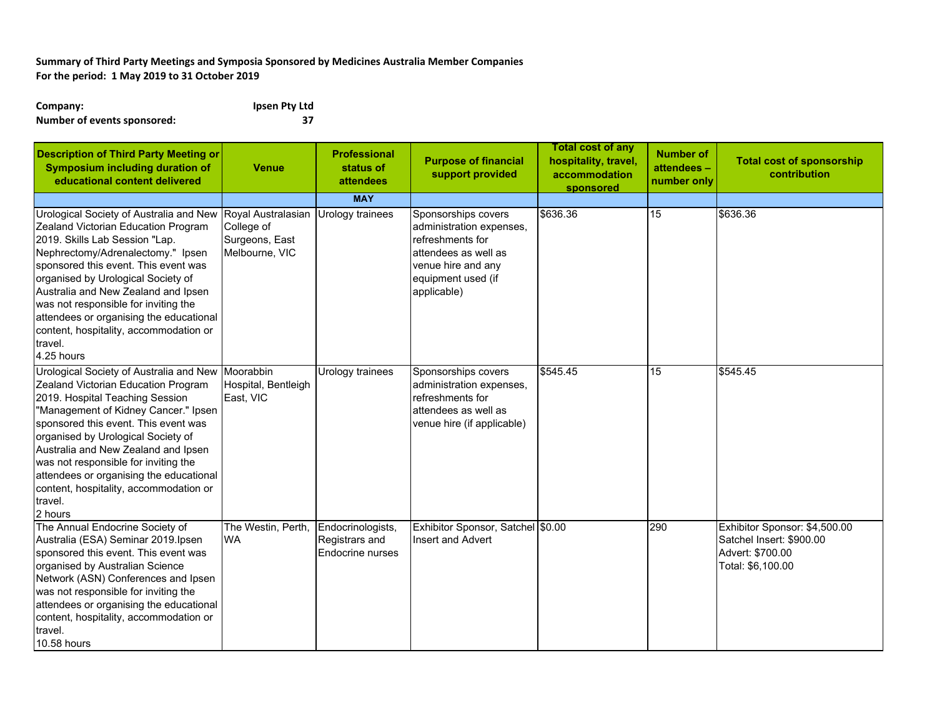## **Summary of Third Party Meetings and Symposia Sponsored by Medicines Australia Member Companies For the period: 1 May 2019 to 31 October 2019**

| Company:                    | Ipsen Pty Ltd |
|-----------------------------|---------------|
| Number of events sponsored: | 37            |

| <b>Description of Third Party Meeting or</b><br><b>Symposium including duration of</b><br>educational content delivered                                                                                                                                                                                                                                                                                                                     | <b>Venue</b>                                                         | <b>Professional</b><br>status of<br>attendees           | <b>Purpose of financial</b><br>support provided                                                                                                        | <b>Total cost of any</b><br>hospitality, travel,<br>accommodation<br>sponsored | <b>Number of</b><br>attendees -<br>number only | <b>Total cost of sponsorship</b><br>contribution                                                   |
|---------------------------------------------------------------------------------------------------------------------------------------------------------------------------------------------------------------------------------------------------------------------------------------------------------------------------------------------------------------------------------------------------------------------------------------------|----------------------------------------------------------------------|---------------------------------------------------------|--------------------------------------------------------------------------------------------------------------------------------------------------------|--------------------------------------------------------------------------------|------------------------------------------------|----------------------------------------------------------------------------------------------------|
|                                                                                                                                                                                                                                                                                                                                                                                                                                             |                                                                      | <b>MAY</b>                                              |                                                                                                                                                        |                                                                                |                                                |                                                                                                    |
| Urological Society of Australia and New<br>Zealand Victorian Education Program<br>2019. Skills Lab Session "Lap.<br>Nephrectomy/Adrenalectomy." Ipsen<br>sponsored this event. This event was<br>organised by Urological Society of<br>Australia and New Zealand and Ipsen<br>was not responsible for inviting the<br>attendees or organising the educational<br>content, hospitality, accommodation or<br>travel.<br>4.25 hours            | Royal Australasian<br>College of<br>Surgeons, East<br>Melbourne, VIC | Urology trainees                                        | Sponsorships covers<br>administration expenses,<br>refreshments for<br>attendees as well as<br>venue hire and any<br>equipment used (if<br>applicable) | \$636.36                                                                       | 15                                             | \$636.36                                                                                           |
| Urological Society of Australia and New Moorabbin<br>Zealand Victorian Education Program<br>2019. Hospital Teaching Session<br>"Management of Kidney Cancer." Ipsen<br>sponsored this event. This event was<br>organised by Urological Society of<br>Australia and New Zealand and Ipsen<br>was not responsible for inviting the<br>attendees or organising the educational<br>content, hospitality, accommodation or<br>travel.<br>2 hours | Hospital, Bentleigh<br>East, VIC                                     | Urology trainees                                        | Sponsorships covers<br>administration expenses,<br>refreshments for<br>attendees as well as<br>venue hire (if applicable)                              | \$545.45                                                                       | 15                                             | \$545.45                                                                                           |
| The Annual Endocrine Society of<br>Australia (ESA) Seminar 2019. Ipsen<br>sponsored this event. This event was<br>organised by Australian Science<br>Network (ASN) Conferences and Ipsen<br>was not responsible for inviting the<br>attendees or organising the educational<br>content, hospitality, accommodation or<br>travel.<br>10.58 hours                                                                                             | The Westin, Perth,<br><b>WA</b>                                      | Endocrinologists,<br>Registrars and<br>Endocrine nurses | Exhibitor Sponsor, Satchel \$0.00<br>Insert and Advert                                                                                                 |                                                                                | 290                                            | Exhibitor Sponsor: \$4,500.00<br>Satchel Insert: \$900.00<br>Advert: \$700.00<br>Total: \$6,100.00 |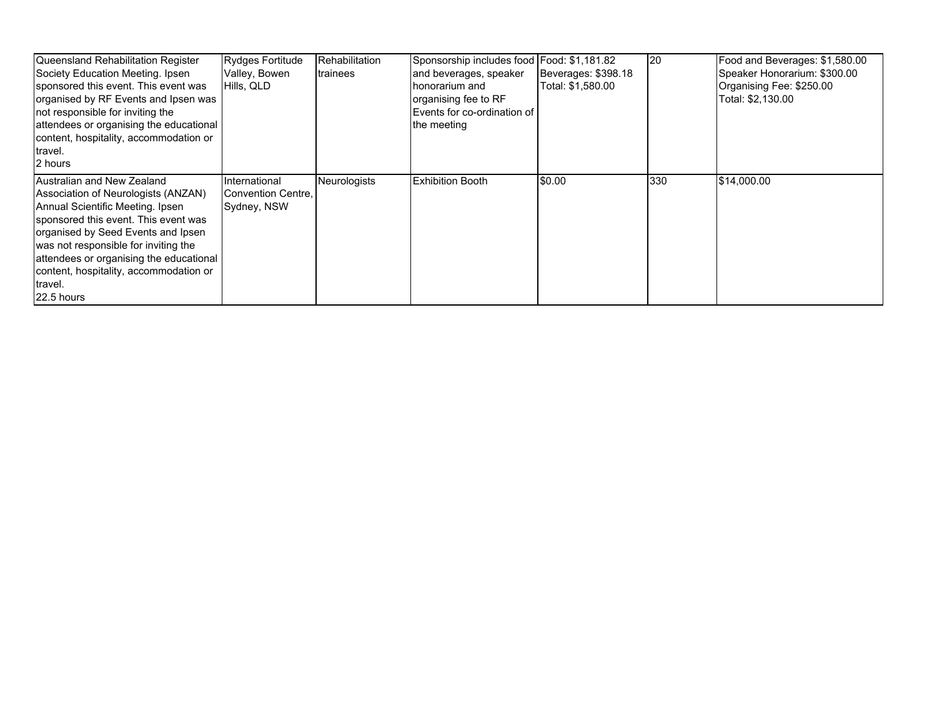| Queensland Rehabilitation Register<br>Society Education Meeting. Ipsen<br>sponsored this event. This event was<br>organised by RF Events and Ipsen was<br>not responsible for inviting the<br>attendees or organising the educational<br>content, hospitality, accommodation or<br>travel.<br>2 hours                                     | Rydges Fortitude<br>Valley, Bowen<br>Hills, QLD    | Rehabilitation<br>trainees | Sponsorship includes food Food: \$1,181.82<br>and beverages, speaker<br>honorarium and<br>organising fee to RF<br>Events for co-ordination of<br>the meeting | Beverages: \$398.18<br>Total: \$1,580.00 | 120 | Food and Beverages: \$1,580.00<br>Speaker Honorarium: \$300.00<br>Organising Fee: \$250.00<br>Total: \$2,130.00 |
|-------------------------------------------------------------------------------------------------------------------------------------------------------------------------------------------------------------------------------------------------------------------------------------------------------------------------------------------|----------------------------------------------------|----------------------------|--------------------------------------------------------------------------------------------------------------------------------------------------------------|------------------------------------------|-----|-----------------------------------------------------------------------------------------------------------------|
| Australian and New Zealand<br>Association of Neurologists (ANZAN)<br>Annual Scientific Meeting. Ipsen<br>sponsored this event. This event was<br>organised by Seed Events and Ipsen<br>was not responsible for inviting the<br>attendees or organising the educational<br>content, hospitality, accommodation or<br>travel.<br>22.5 hours | International<br>Convention Centre,<br>Sydney, NSW | <b>Neurologists</b>        | <b>Exhibition Booth</b>                                                                                                                                      | \$0.00                                   | 330 | \$14,000.00                                                                                                     |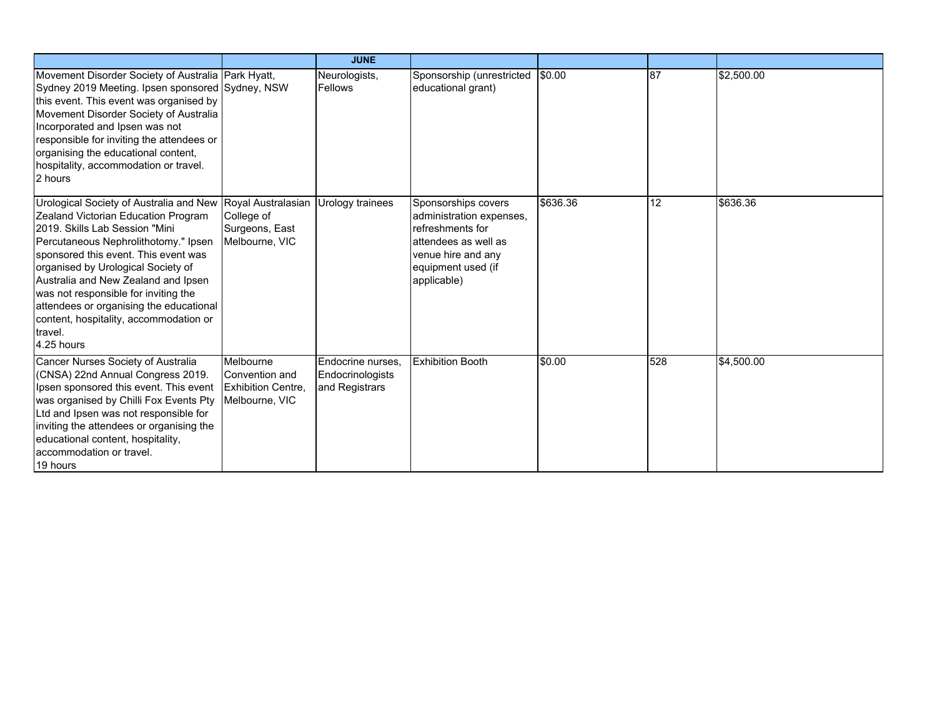|                                                                                                                                                                                                                                                                                                                                                                                                                                                                         |                                                                           | <b>JUNE</b>                                             |                                                                                                                                                        |          |     |            |
|-------------------------------------------------------------------------------------------------------------------------------------------------------------------------------------------------------------------------------------------------------------------------------------------------------------------------------------------------------------------------------------------------------------------------------------------------------------------------|---------------------------------------------------------------------------|---------------------------------------------------------|--------------------------------------------------------------------------------------------------------------------------------------------------------|----------|-----|------------|
| Movement Disorder Society of Australia Park Hyatt,<br>Sydney 2019 Meeting. Ipsen sponsored Sydney, NSW<br>this event. This event was organised by<br>Movement Disorder Society of Australia<br>Incorporated and Ipsen was not<br>responsible for inviting the attendees or<br>organising the educational content,<br>hospitality, accommodation or travel.<br>2 hours                                                                                                   |                                                                           | Neurologists,<br><b>Fellows</b>                         | Sponsorship (unrestricted<br>educational grant)                                                                                                        | \$0.00   | 87  | \$2,500.00 |
| Urological Society of Australia and New Royal Australasian Urology trainees<br>Zealand Victorian Education Program<br>2019. Skills Lab Session "Mini<br>Percutaneous Nephrolithotomy." Ipsen<br>sponsored this event. This event was<br>organised by Urological Society of<br>Australia and New Zealand and Ipsen<br>was not responsible for inviting the<br>attendees or organising the educational<br>content, hospitality, accommodation or<br>travel.<br>4.25 hours | College of<br>Surgeons, East<br>Melbourne, VIC                            |                                                         | Sponsorships covers<br>administration expenses,<br>refreshments for<br>attendees as well as<br>venue hire and any<br>equipment used (if<br>applicable) | \$636.36 | 12  | \$636.36   |
| Cancer Nurses Society of Australia<br>(CNSA) 22nd Annual Congress 2019.<br>Ipsen sponsored this event. This event<br>was organised by Chilli Fox Events Pty<br>Ltd and Ipsen was not responsible for<br>inviting the attendees or organising the<br>educational content, hospitality,<br>accommodation or travel.<br>19 hours                                                                                                                                           | Melbourne<br>Convention and<br><b>Exhibition Centre</b><br>Melbourne, VIC | Endocrine nurses,<br>Endocrinologists<br>and Registrars | <b>Exhibition Booth</b>                                                                                                                                | \$0.00   | 528 | \$4,500.00 |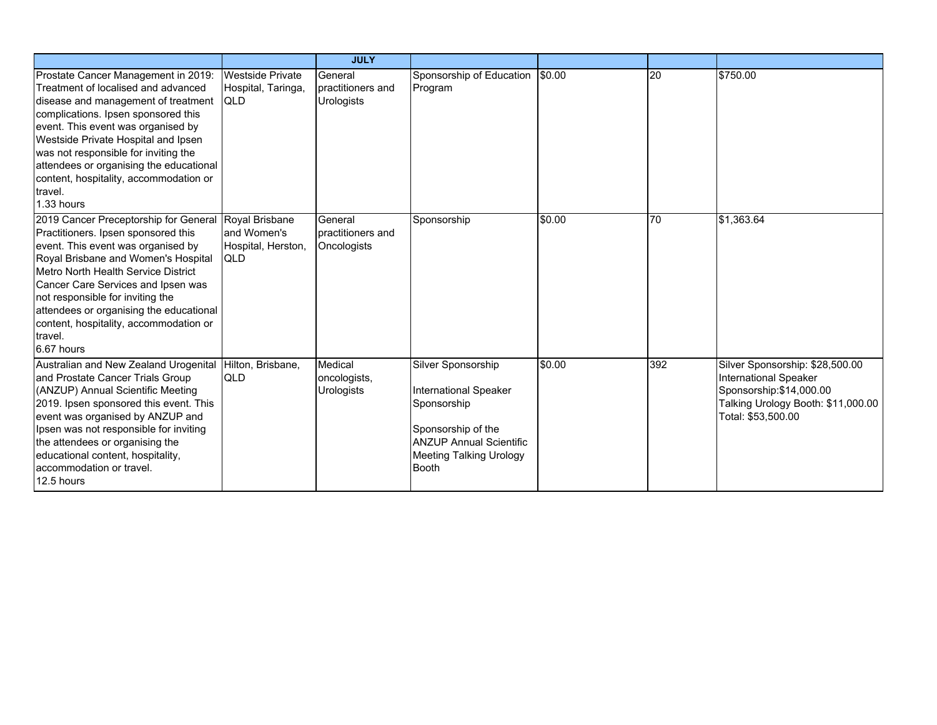|                                                                                                                                                                                                                                                                                                                                                                                             |                                                                   | <b>JULY</b>                                       |                                                                                                                                                                             |        |     |                                                                                                                                                         |
|---------------------------------------------------------------------------------------------------------------------------------------------------------------------------------------------------------------------------------------------------------------------------------------------------------------------------------------------------------------------------------------------|-------------------------------------------------------------------|---------------------------------------------------|-----------------------------------------------------------------------------------------------------------------------------------------------------------------------------|--------|-----|---------------------------------------------------------------------------------------------------------------------------------------------------------|
| Prostate Cancer Management in 2019:<br>Treatment of localised and advanced<br>disease and management of treatment<br>complications. Ipsen sponsored this<br>event. This event was organised by<br>Westside Private Hospital and Ipsen<br>was not responsible for inviting the<br>attendees or organising the educational<br>content, hospitality, accommodation or<br>travel.<br>1.33 hours | <b>Westside Private</b><br>Hospital, Taringa,<br><b>IQLD</b>      | General<br>practitioners and<br><b>Urologists</b> | Sponsorship of Education<br>Program                                                                                                                                         | \$0.00 | 20  | \$750.00                                                                                                                                                |
| 2019 Cancer Preceptorship for General<br>Practitioners. Ipsen sponsored this<br>event. This event was organised by<br>Royal Brisbane and Women's Hospital<br>Metro North Health Service District<br>Cancer Care Services and Ipsen was<br>not responsible for inviting the<br>attendees or organising the educational<br>content, hospitality, accommodation or<br>travel.<br>6.67 hours    | Royal Brisbane<br>and Women's<br>Hospital, Herston,<br><b>QLD</b> | General<br>practitioners and<br>Oncologists       | Sponsorship                                                                                                                                                                 | \$0.00 | 70  | \$1,363.64                                                                                                                                              |
| Australian and New Zealand Urogenital<br>and Prostate Cancer Trials Group<br>(ANZUP) Annual Scientific Meeting<br>2019. Ipsen sponsored this event. This<br>event was organised by ANZUP and<br>Ipsen was not responsible for inviting<br>the attendees or organising the<br>educational content, hospitality,<br>accommodation or travel.<br>12.5 hours                                    | Hilton, Brisbane,<br><b>QLD</b>                                   | Medical<br>oncologists,<br><b>Urologists</b>      | Silver Sponsorship<br><b>International Speaker</b><br>Sponsorship<br>Sponsorship of the<br><b>ANZUP Annual Scientific</b><br><b>Meeting Talking Urology</b><br><b>Booth</b> | \$0.00 | 392 | Silver Sponsorship: \$28,500.00<br><b>International Speaker</b><br>Sponsorship: \$14,000.00<br>Talking Urology Booth: \$11,000.00<br>Total: \$53,500.00 |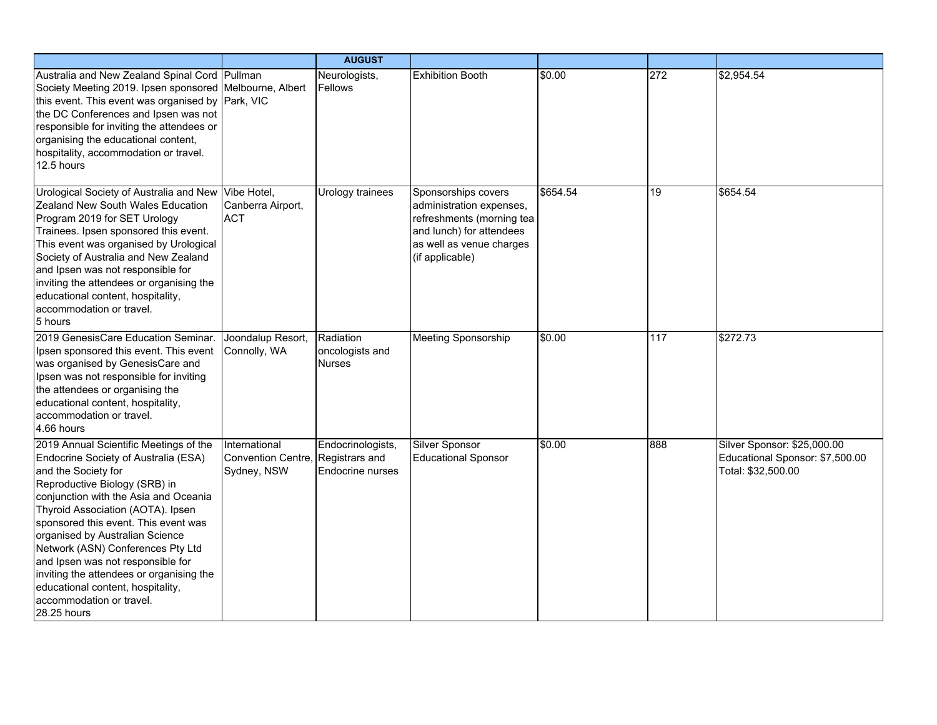|                                                                                                                                                                                                                                                                                                                                                                                                                                                                                                       |                                                                   | <b>AUGUST</b>                                 |                                                                                                                                                         |          |     |                                                                                      |
|-------------------------------------------------------------------------------------------------------------------------------------------------------------------------------------------------------------------------------------------------------------------------------------------------------------------------------------------------------------------------------------------------------------------------------------------------------------------------------------------------------|-------------------------------------------------------------------|-----------------------------------------------|---------------------------------------------------------------------------------------------------------------------------------------------------------|----------|-----|--------------------------------------------------------------------------------------|
| Australia and New Zealand Spinal Cord Pullman<br>Society Meeting 2019. Ipsen sponsored Melbourne, Albert<br>this event. This event was organised by Park, VIC<br>the DC Conferences and Ipsen was not<br>responsible for inviting the attendees or<br>organising the educational content,<br>hospitality, accommodation or travel.<br>12.5 hours                                                                                                                                                      |                                                                   | Neurologists,<br>Fellows                      | <b>Exhibition Booth</b>                                                                                                                                 | \$0.00   | 272 | \$2,954.54                                                                           |
| Urological Society of Australia and New<br>Zealand New South Wales Education<br>Program 2019 for SET Urology<br>Trainees. Ipsen sponsored this event.<br>This event was organised by Urological<br>Society of Australia and New Zealand<br>and Ipsen was not responsible for<br>inviting the attendees or organising the<br>educational content, hospitality,<br>accommodation or travel.<br>5 hours                                                                                                  | Vibe Hotel,<br>Canberra Airport,<br><b>ACT</b>                    | Urology trainees                              | Sponsorships covers<br>administration expenses,<br>refreshments (morning tea<br>and lunch) for attendees<br>as well as venue charges<br>(if applicable) | \$654.54 | 19  | \$654.54                                                                             |
| 2019 GenesisCare Education Seminar.<br>Ipsen sponsored this event. This event<br>was organised by GenesisCare and<br>Ipsen was not responsible for inviting<br>the attendees or organising the<br>educational content, hospitality,<br>accommodation or travel.<br>4.66 hours                                                                                                                                                                                                                         | Joondalup Resort,<br>Connolly, WA                                 | Radiation<br>oncologists and<br><b>Nurses</b> | <b>Meeting Sponsorship</b>                                                                                                                              | \$0.00   | 117 | \$272.73                                                                             |
| 2019 Annual Scientific Meetings of the<br>Endocrine Society of Australia (ESA)<br>and the Society for<br>Reproductive Biology (SRB) in<br>conjunction with the Asia and Oceania<br>Thyroid Association (AOTA). Ipsen<br>sponsored this event. This event was<br>organised by Australian Science<br>Network (ASN) Conferences Pty Ltd<br>and Ipsen was not responsible for<br>inviting the attendees or organising the<br>educational content, hospitality,<br>accommodation or travel.<br>28.25 hours | International<br>Convention Centre, Registrars and<br>Sydney, NSW | Endocrinologists,<br><b>Endocrine nurses</b>  | <b>Silver Sponsor</b><br><b>Educational Sponsor</b>                                                                                                     | \$0.00   | 888 | Silver Sponsor: \$25,000.00<br>Educational Sponsor: \$7,500.00<br>Total: \$32,500.00 |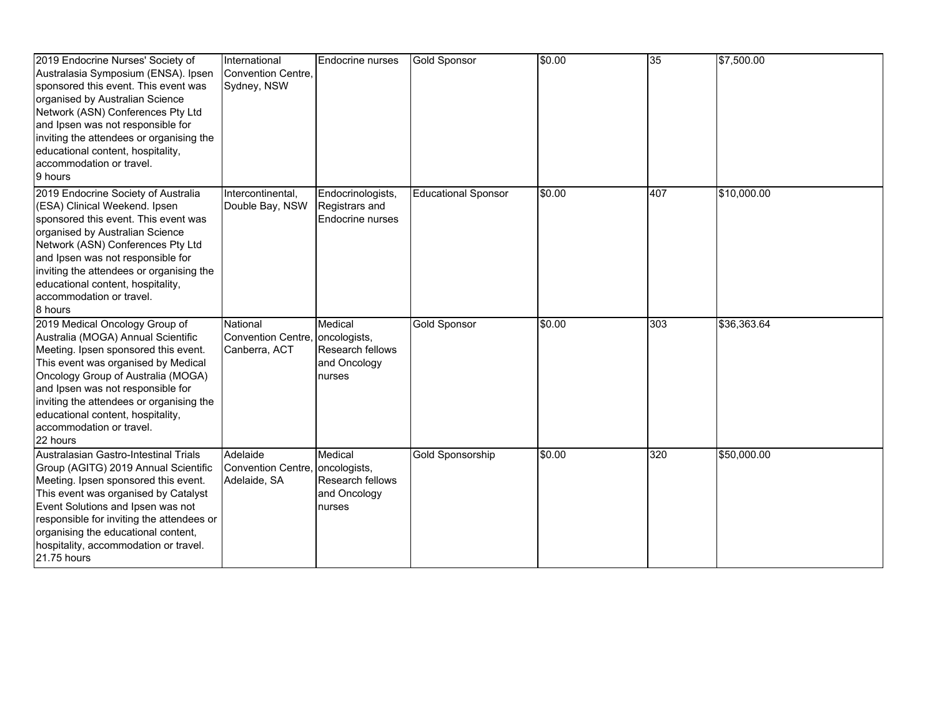| 2019 Endocrine Nurses' Society of<br>Australasia Symposium (ENSA). Ipsen<br>sponsored this event. This event was<br>organised by Australian Science<br>Network (ASN) Conferences Pty Ltd<br>and Ipsen was not responsible for<br>inviting the attendees or organising the<br>educational content, hospitality,<br>accommodation or travel.<br>9 hours   | International<br>Convention Centre,<br>Sydney, NSW           | Endocrine nurses                                        | <b>Gold Sponsor</b>        | \$0.00 | 35  | \$7,500.00  |
|---------------------------------------------------------------------------------------------------------------------------------------------------------------------------------------------------------------------------------------------------------------------------------------------------------------------------------------------------------|--------------------------------------------------------------|---------------------------------------------------------|----------------------------|--------|-----|-------------|
| 2019 Endocrine Society of Australia<br>(ESA) Clinical Weekend. Ipsen<br>sponsored this event. This event was<br>organised by Australian Science<br>Network (ASN) Conferences Pty Ltd<br>and Ipsen was not responsible for<br>inviting the attendees or organising the<br>educational content, hospitality,<br>accommodation or travel.<br>8 hours       | Intercontinental,<br>Double Bay, NSW                         | Endocrinologists,<br>Registrars and<br>Endocrine nurses | <b>Educational Sponsor</b> | \$0.00 | 407 | \$10,000.00 |
| 2019 Medical Oncology Group of<br>Australia (MOGA) Annual Scientific<br>Meeting. Ipsen sponsored this event.<br>This event was organised by Medical<br>Oncology Group of Australia (MOGA)<br>and Ipsen was not responsible for<br>inviting the attendees or organising the<br>educational content, hospitality,<br>accommodation or travel.<br>22 hours | National<br>Convention Centre, oncologists,<br>Canberra, ACT | Medical<br>Research fellows<br>and Oncology<br>nurses   | <b>Gold Sponsor</b>        | \$0.00 | 303 | \$36,363.64 |
| Australasian Gastro-Intestinal Trials<br>Group (AGITG) 2019 Annual Scientific<br>Meeting. Ipsen sponsored this event.<br>This event was organised by Catalyst<br>Event Solutions and Ipsen was not<br>responsible for inviting the attendees or<br>organising the educational content,<br>hospitality, accommodation or travel.<br>21.75 hours          | Adelaide<br>Convention Centre, oncologists,<br>Adelaide, SA  | Medical<br>Research fellows<br>and Oncology<br>nurses   | Gold Sponsorship           | \$0.00 | 320 | \$50,000.00 |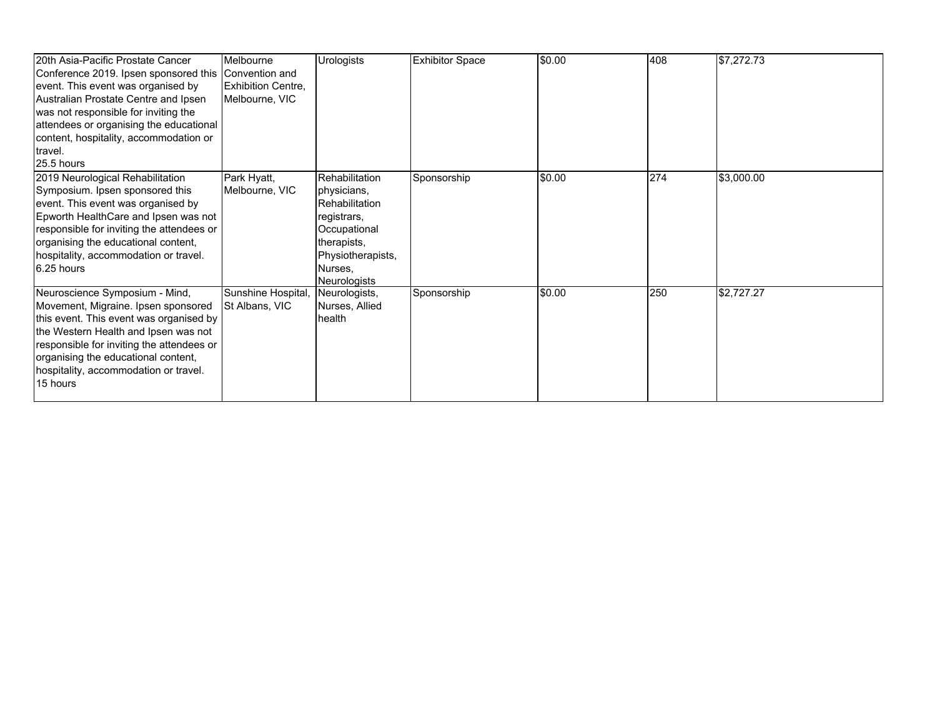| 20th Asia-Pacific Prostate Cancer         | Melbourne                 | <b>Urologists</b>     | <b>Exhibitor Space</b> | \$0.00 | 408 | \$7,272.73 |
|-------------------------------------------|---------------------------|-----------------------|------------------------|--------|-----|------------|
| Conference 2019. Ipsen sponsored this     | Convention and            |                       |                        |        |     |            |
| event. This event was organised by        | <b>Exhibition Centre,</b> |                       |                        |        |     |            |
| Australian Prostate Centre and Ipsen      | Melbourne, VIC            |                       |                        |        |     |            |
| was not responsible for inviting the      |                           |                       |                        |        |     |            |
| attendees or organising the educational   |                           |                       |                        |        |     |            |
| content, hospitality, accommodation or    |                           |                       |                        |        |     |            |
| travel.                                   |                           |                       |                        |        |     |            |
| 25.5 hours                                |                           |                       |                        |        |     |            |
| 2019 Neurological Rehabilitation          | Park Hyatt,               | Rehabilitation        | Sponsorship            | \$0.00 | 274 | \$3,000.00 |
| Symposium. Ipsen sponsored this           | Melbourne, VIC            | physicians,           |                        |        |     |            |
| event. This event was organised by        |                           | <b>Rehabilitation</b> |                        |        |     |            |
| Epworth HealthCare and Ipsen was not      |                           | registrars,           |                        |        |     |            |
| responsible for inviting the attendees or |                           | Occupational          |                        |        |     |            |
| organising the educational content,       |                           | therapists,           |                        |        |     |            |
| hospitality, accommodation or travel.     |                           | Physiotherapists,     |                        |        |     |            |
| 6.25 hours                                |                           | Nurses,               |                        |        |     |            |
|                                           |                           | <b>Neurologists</b>   |                        |        |     |            |
| Neuroscience Symposium - Mind,            | Sunshine Hospital,        | Neurologists,         | Sponsorship            | \$0.00 | 250 | \$2,727.27 |
| Movement, Migraine. Ipsen sponsored       | St Albans, VIC            | Nurses, Allied        |                        |        |     |            |
| this event. This event was organised by   |                           | health                |                        |        |     |            |
| the Western Health and Ipsen was not      |                           |                       |                        |        |     |            |
| responsible for inviting the attendees or |                           |                       |                        |        |     |            |
| organising the educational content,       |                           |                       |                        |        |     |            |
| hospitality, accommodation or travel.     |                           |                       |                        |        |     |            |
| 15 hours                                  |                           |                       |                        |        |     |            |
|                                           |                           |                       |                        |        |     |            |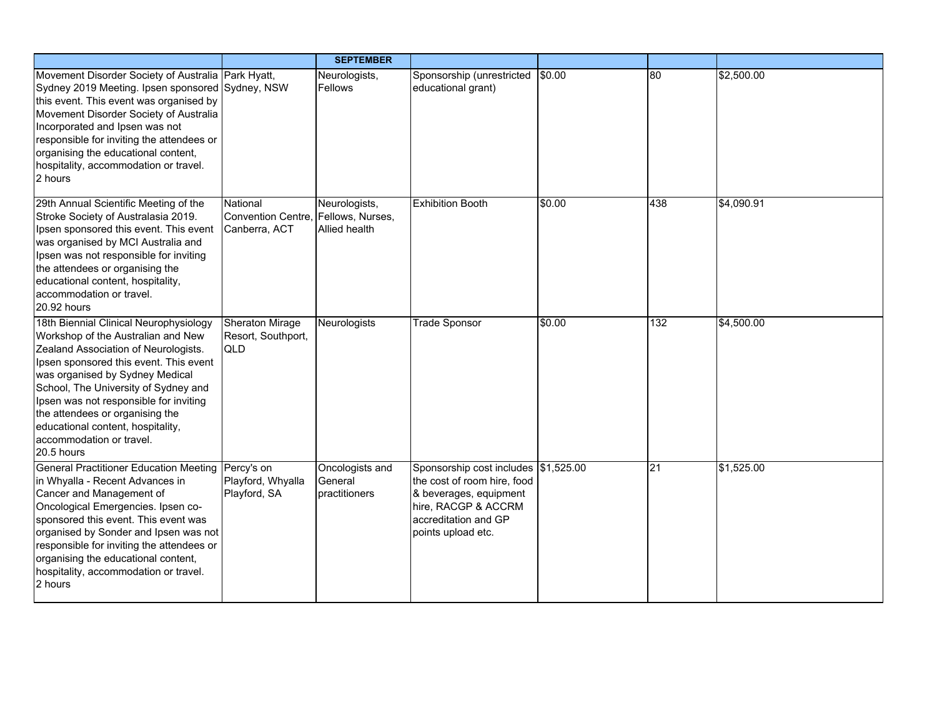|                                                                                                                                                                                                                                                                                                                                                                                                       |                                                                  | <b>SEPTEMBER</b>                            |                                                                                                                                                                    |        |                 |            |
|-------------------------------------------------------------------------------------------------------------------------------------------------------------------------------------------------------------------------------------------------------------------------------------------------------------------------------------------------------------------------------------------------------|------------------------------------------------------------------|---------------------------------------------|--------------------------------------------------------------------------------------------------------------------------------------------------------------------|--------|-----------------|------------|
| Movement Disorder Society of Australia Park Hyatt,<br>Sydney 2019 Meeting. Ipsen sponsored Sydney, NSW<br>this event. This event was organised by<br>Movement Disorder Society of Australia<br>Incorporated and Ipsen was not<br>responsible for inviting the attendees or<br>organising the educational content,<br>hospitality, accommodation or travel.<br>2 hours                                 |                                                                  | Neurologists,<br>Fellows                    | Sponsorship (unrestricted<br>educational grant)                                                                                                                    | \$0.00 | 80              | \$2,500.00 |
| 29th Annual Scientific Meeting of the<br>Stroke Society of Australasia 2019.<br>Ipsen sponsored this event. This event<br>was organised by MCI Australia and<br>Ipsen was not responsible for inviting<br>the attendees or organising the<br>educational content, hospitality,<br>accommodation or travel.<br>20.92 hours                                                                             | National<br>Convention Centre, Fellows, Nurses,<br>Canberra, ACT | Neurologists,<br><b>Allied health</b>       | <b>Exhibition Booth</b>                                                                                                                                            | \$0.00 | 438             | \$4,090.91 |
| 18th Biennial Clinical Neurophysiology<br>Workshop of the Australian and New<br>Zealand Association of Neurologists.<br>Ipsen sponsored this event. This event<br>was organised by Sydney Medical<br>School, The University of Sydney and<br>Ipsen was not responsible for inviting<br>the attendees or organising the<br>educational content, hospitality,<br>accommodation or travel.<br>20.5 hours | <b>Sheraton Mirage</b><br>Resort, Southport,<br>QLD              | <b>Neurologists</b>                         | <b>Trade Sponsor</b>                                                                                                                                               | \$0.00 | 132             | \$4,500.00 |
| <b>General Practitioner Education Meeting</b><br>in Whyalla - Recent Advances in<br>Cancer and Management of<br>Oncological Emergencies. Ipsen co-<br>sponsored this event. This event was<br>organised by Sonder and Ipsen was not<br>responsible for inviting the attendees or<br>organising the educational content,<br>hospitality, accommodation or travel.<br>2 hours                           | Percy's on<br>Playford, Whyalla<br>Playford, SA                  | Oncologists and<br>General<br>practitioners | Sponsorship cost includes \$1,525.00<br>the cost of room hire, food<br>& beverages, equipment<br>hire, RACGP & ACCRM<br>accreditation and GP<br>points upload etc. |        | $\overline{21}$ | \$1,525.00 |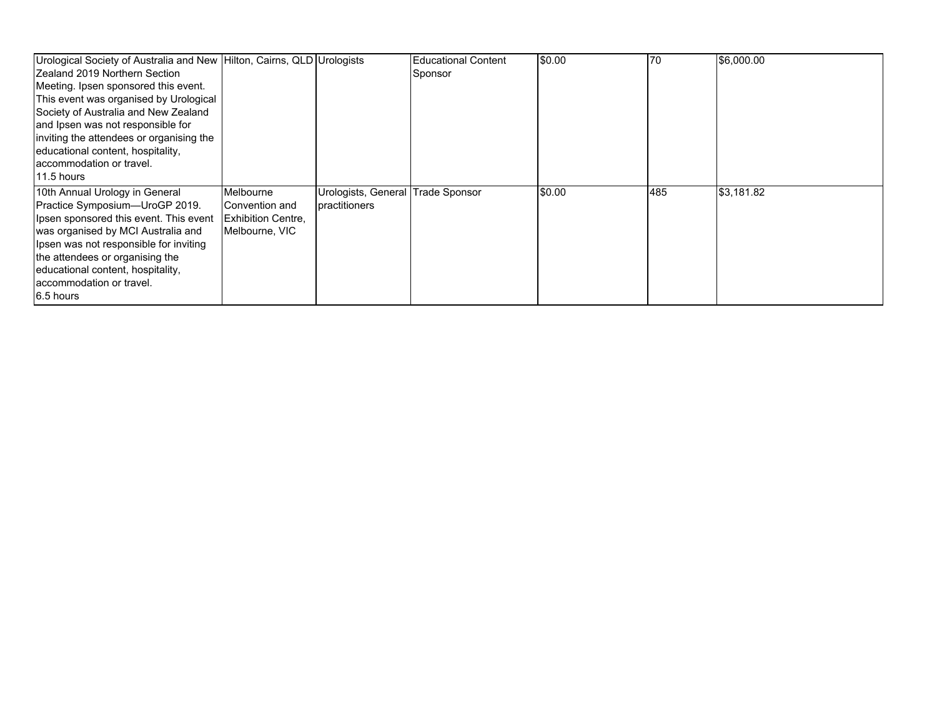| Urological Society of Australia and New Hilton, Cairns, QLD Urologists |                           |                                   | <b>Educational Content</b> | \$0.00 | 170 | \$6,000.00 |
|------------------------------------------------------------------------|---------------------------|-----------------------------------|----------------------------|--------|-----|------------|
| <b>IZealand 2019 Northern Section</b>                                  |                           |                                   | Sponsor                    |        |     |            |
| Meeting. Ipsen sponsored this event.                                   |                           |                                   |                            |        |     |            |
| This event was organised by Urological                                 |                           |                                   |                            |        |     |            |
| Society of Australia and New Zealand                                   |                           |                                   |                            |        |     |            |
| and Ipsen was not responsible for                                      |                           |                                   |                            |        |     |            |
| inviting the attendees or organising the                               |                           |                                   |                            |        |     |            |
| educational content, hospitality,                                      |                           |                                   |                            |        |     |            |
| accommodation or travel.                                               |                           |                                   |                            |        |     |            |
| 11.5 hours                                                             |                           |                                   |                            |        |     |            |
| 10th Annual Urology in General                                         | Melbourne                 | Urologists, General Trade Sponsor |                            | \$0.00 | 485 | \$3,181.82 |
| Practice Symposium-UroGP 2019.                                         | Convention and            | practitioners                     |                            |        |     |            |
| Ipsen sponsored this event. This event                                 | <b>Exhibition Centre.</b> |                                   |                            |        |     |            |
| was organised by MCI Australia and                                     | Melbourne, VIC            |                                   |                            |        |     |            |
| Ipsen was not responsible for inviting                                 |                           |                                   |                            |        |     |            |
| the attendees or organising the                                        |                           |                                   |                            |        |     |            |
| educational content, hospitality,                                      |                           |                                   |                            |        |     |            |
| accommodation or travel.                                               |                           |                                   |                            |        |     |            |
| 6.5 hours                                                              |                           |                                   |                            |        |     |            |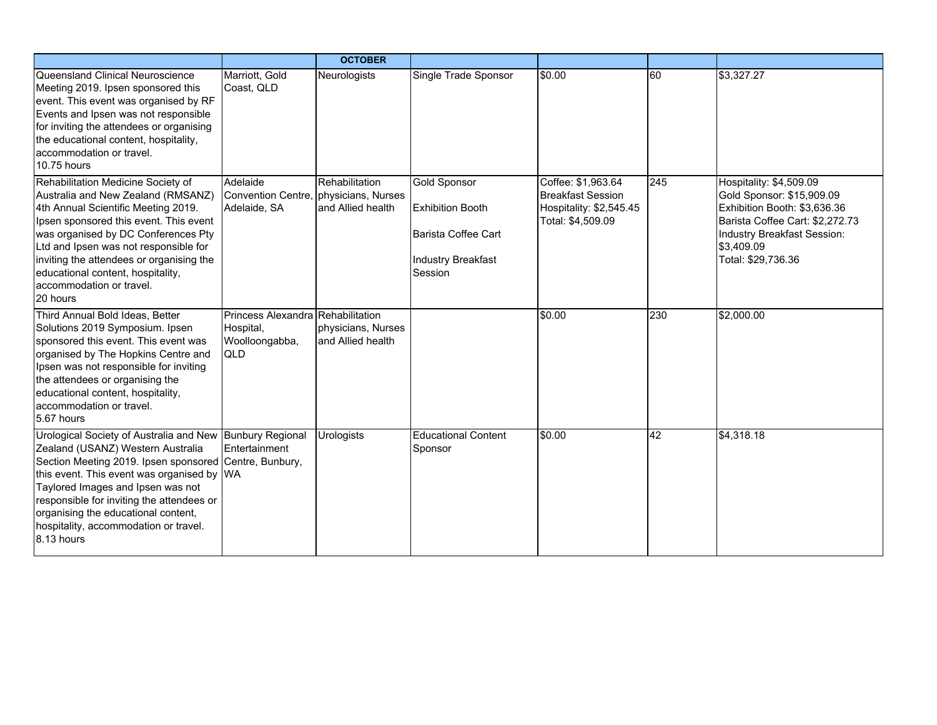|                                                                                                                                                                                                                                                                                                                                                                                       |                                                                         | <b>OCTOBER</b>                          |                                                                                                               |                                                                                                |     |                                                                                                                                                                                            |
|---------------------------------------------------------------------------------------------------------------------------------------------------------------------------------------------------------------------------------------------------------------------------------------------------------------------------------------------------------------------------------------|-------------------------------------------------------------------------|-----------------------------------------|---------------------------------------------------------------------------------------------------------------|------------------------------------------------------------------------------------------------|-----|--------------------------------------------------------------------------------------------------------------------------------------------------------------------------------------------|
| Queensland Clinical Neuroscience<br>Meeting 2019. Ipsen sponsored this<br>event. This event was organised by RF<br>Events and Ipsen was not responsible<br>for inviting the attendees or organising<br>the educational content, hospitality,<br>accommodation or travel.<br>10.75 hours                                                                                               | Marriott, Gold<br>Coast, QLD                                            | Neurologists                            | Single Trade Sponsor                                                                                          | \$0.00                                                                                         | 60  | \$3,327.27                                                                                                                                                                                 |
| Rehabilitation Medicine Society of<br>Australia and New Zealand (RMSANZ)<br>4th Annual Scientific Meeting 2019.<br>Ipsen sponsored this event. This event<br>was organised by DC Conferences Pty<br>Ltd and Ipsen was not responsible for<br>inviting the attendees or organising the<br>educational content, hospitality,<br>accommodation or travel.<br>20 hours                    | Adelaide<br>Convention Centre, physicians, Nurses<br>Adelaide, SA       | Rehabilitation<br>and Allied health     | <b>Gold Sponsor</b><br><b>Exhibition Booth</b><br>Barista Coffee Cart<br><b>Industry Breakfast</b><br>Session | Coffee: \$1,963.64<br><b>Breakfast Session</b><br>Hospitality: \$2,545.45<br>Total: \$4,509.09 | 245 | Hospitality: \$4,509.09<br>Gold Sponsor: \$15,909.09<br>Exhibition Booth: \$3,636.36<br>Barista Coffee Cart: \$2,272.73<br>Industry Breakfast Session:<br>\$3,409.09<br>Total: \$29,736.36 |
| Third Annual Bold Ideas, Better<br>Solutions 2019 Symposium. Ipsen<br>sponsored this event. This event was<br>organised by The Hopkins Centre and<br>Ipsen was not responsible for inviting<br>the attendees or organising the<br>educational content, hospitality,<br>accommodation or travel.<br>5.67 hours                                                                         | Princess Alexandra Rehabilitation<br>Hospital,<br>Woolloongabba,<br>QLD | physicians, Nurses<br>and Allied health |                                                                                                               | \$0.00                                                                                         | 230 | \$2,000.00                                                                                                                                                                                 |
| Urological Society of Australia and New Bunbury Regional<br>Zealand (USANZ) Western Australia<br>Section Meeting 2019. Ipsen sponsored Centre, Bunbury,<br>this event. This event was organised by WA<br>Taylored Images and Ipsen was not<br>responsible for inviting the attendees or<br>organising the educational content,<br>hospitality, accommodation or travel.<br>8.13 hours | Entertainment                                                           | <b>Urologists</b>                       | <b>Educational Content</b><br>Sponsor                                                                         | \$0.00                                                                                         | 42  | \$4,318.18                                                                                                                                                                                 |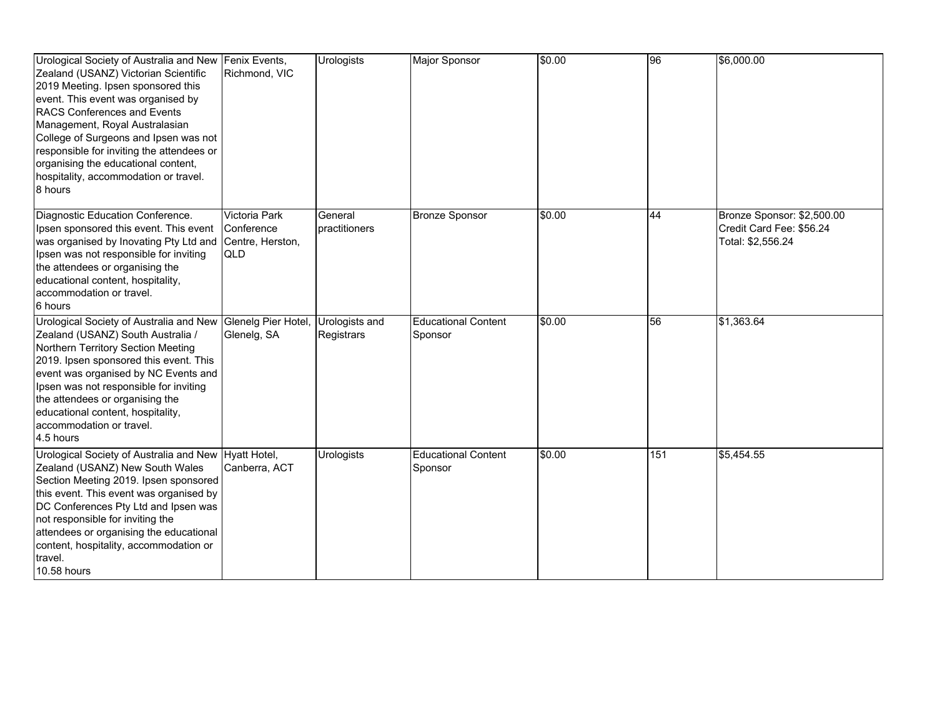| Urological Society of Australia and New<br>Zealand (USANZ) Victorian Scientific<br>2019 Meeting. Ipsen sponsored this<br>event. This event was organised by<br><b>RACS Conferences and Events</b><br>Management, Royal Australasian<br>College of Surgeons and Ipsen was not<br>responsible for inviting the attendees or<br>organising the educational content,<br>hospitality, accommodation or travel.<br>8 hours | Fenix Events,<br>Richmond, VIC                         | <b>Urologists</b>            | <b>Major Sponsor</b>                  | \$0.00 | 96  | \$6,000.00                                                                  |
|----------------------------------------------------------------------------------------------------------------------------------------------------------------------------------------------------------------------------------------------------------------------------------------------------------------------------------------------------------------------------------------------------------------------|--------------------------------------------------------|------------------------------|---------------------------------------|--------|-----|-----------------------------------------------------------------------------|
| Diagnostic Education Conference.<br>Ipsen sponsored this event. This event<br>was organised by Inovating Pty Ltd and<br>Ipsen was not responsible for inviting<br>the attendees or organising the<br>educational content, hospitality,<br>accommodation or travel.<br>6 hours                                                                                                                                        | Victoria Park<br>Conference<br>Centre, Herston,<br>QLD | General<br>practitioners     | <b>Bronze Sponsor</b>                 | \$0.00 | 44  | Bronze Sponsor: \$2,500.00<br>Credit Card Fee: \$56.24<br>Total: \$2,556.24 |
| Urological Society of Australia and New<br>Zealand (USANZ) South Australia /<br>Northern Territory Section Meeting<br>2019. Ipsen sponsored this event. This<br>event was organised by NC Events and<br>Ipsen was not responsible for inviting<br>the attendees or organising the<br>educational content, hospitality,<br>accommodation or travel.<br>4.5 hours                                                      | Glenelg Pier Hotel.<br>Glenelg, SA                     | Urologists and<br>Registrars | <b>Educational Content</b><br>Sponsor | \$0.00 | 56  | \$1,363.64                                                                  |
| Urological Society of Australia and New Hyatt Hotel,<br>Zealand (USANZ) New South Wales<br>Section Meeting 2019. Ipsen sponsored<br>this event. This event was organised by<br>DC Conferences Pty Ltd and Ipsen was<br>not responsible for inviting the<br>attendees or organising the educational<br>content, hospitality, accommodation or<br>travel.<br>10.58 hours                                               | Canberra, ACT                                          | <b>Urologists</b>            | <b>Educational Content</b><br>Sponsor | \$0.00 | 151 | \$5,454.55                                                                  |